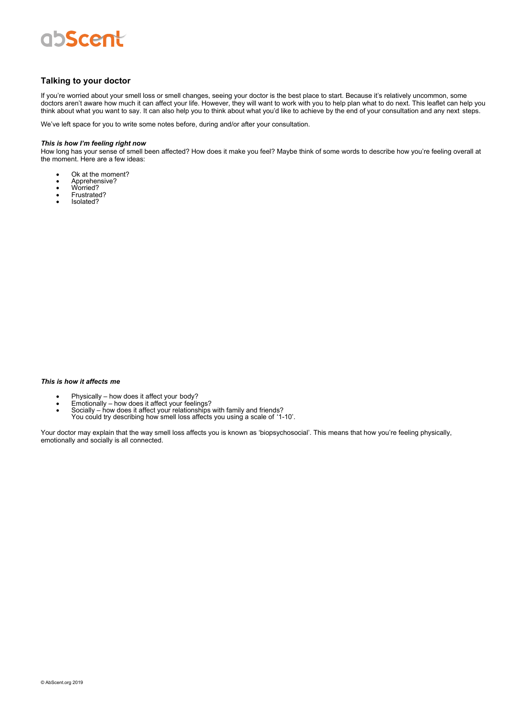## abscent

## **Talking to your doctor**

If you're worried about your smell loss or smell changes, seeing your doctor is the best place to start. Because it's relatively uncommon, some doctors aren't aware how much it can affect your life. However, they will want to work with you to help plan what to do next. This leaflet can help you think about what you want to say. It can also help you to think about what you'd like to achieve by the end of your consultation and any next steps.

We've left space for you to write some notes before, during and/or after your consultation.

#### *This is how I'm feeling right now*

How long has your sense of smell been affected? How does it make you feel? Maybe think of some words to describe how you're feeling overall at the moment. Here are a few ideas:

- Ok at the moment?<br>• Apprehensive?
- Apprehensive?
- Worried?
- Frustrated?<br>• Isolated? • Isolated?

### *This is how it affects me*

- 
- 
- Physically how does it affect your body?<br>• Emotionally how does it affect your feelings?<br>• Socially how does it affect your relationships with family and friends? You could try describing how smell loss affects you using a scale of '1-10'.

Your doctor may explain that the way smell loss affects you is known as 'biopsychosocial'. This means that how you're feeling physically, emotionally and socially is all connected.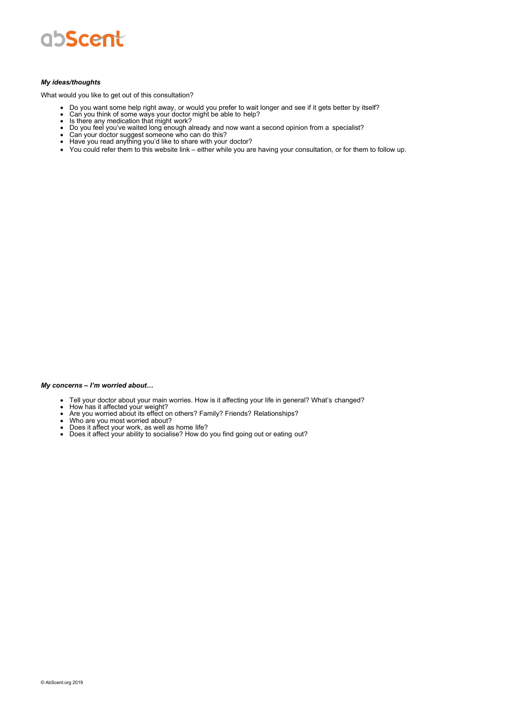

#### *My ideas/thoughts*

What would you like to get out of this consultation?

- Do you want some help right away, or would you prefer to wait longer and see if it gets better by itself? Can you think of some ways your doctor might be able to help? Is there any medication that might work?
- 
- 
- Do you feel you've waited long enough already and now want a second opinion from a specialist?
- Can your doctor suggest someone who can do this?
- Have you read anything you'd like to share with your doctor?
- You could refer them to this website link either while you are having your consultation, or for them to follow up.

#### *My concerns – I'm worried about…*

- Tell your doctor about your main worries. How is it affecting your life in general? What's changed?
- 
- How has it affected your weight?<br>• Are you worried about its effect on others? Family? Friends? Relationships?
- Who are you most worried about?
- Does it affect your work, as well as home life?<br>• Does it affect your ability to socialise? How do you find going out or eating out?
-